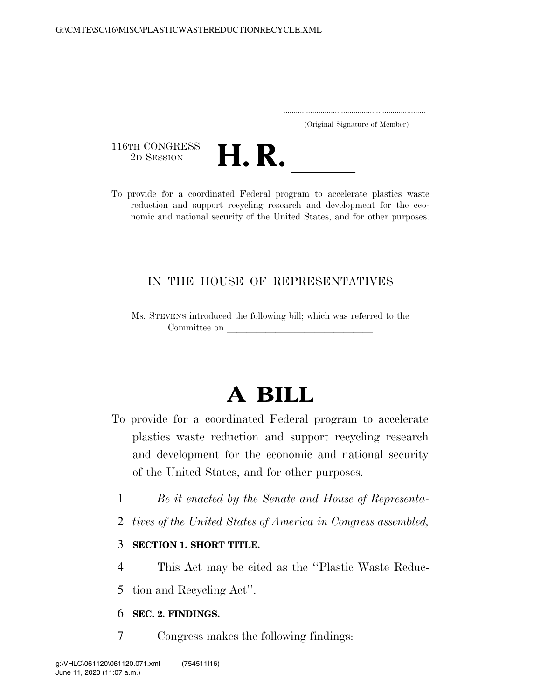.....................................................................

(Original Signature of Member)

116TH CONGRESS<br>2D SESSION



116TH CONGRESS<br>
2D SESSION<br>
To provide for a coordinated Federal program to accelerate plastics waste reduction and support recycling research and development for the economic and national security of the United States, and for other purposes.

# IN THE HOUSE OF REPRESENTATIVES

Ms. STEVENS introduced the following bill; which was referred to the Committee on

# **A BILL**

- To provide for a coordinated Federal program to accelerate plastics waste reduction and support recycling research and development for the economic and national security of the United States, and for other purposes.
	- 1 *Be it enacted by the Senate and House of Representa-*
	- 2 *tives of the United States of America in Congress assembled,*

## 3 **SECTION 1. SHORT TITLE.**

4 This Act may be cited as the ''Plastic Waste Reduc-

5 tion and Recycling Act''.

## 6 **SEC. 2. FINDINGS.**

7 Congress makes the following findings: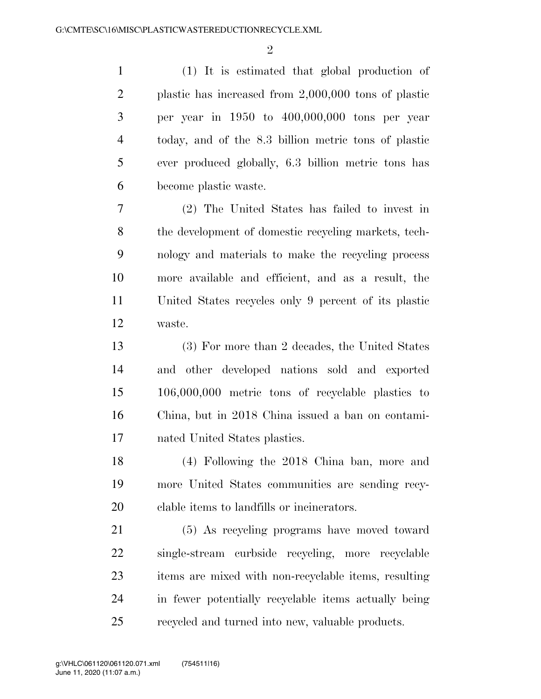$\mathfrak{D}$ 

 (1) It is estimated that global production of plastic has increased from 2,000,000 tons of plastic per year in 1950 to 400,000,000 tons per year today, and of the 8.3 billion metric tons of plastic ever produced globally, 6.3 billion metric tons has become plastic waste.

 (2) The United States has failed to invest in the development of domestic recycling markets, tech- nology and materials to make the recycling process more available and efficient, and as a result, the United States recycles only 9 percent of its plastic waste.

 (3) For more than 2 decades, the United States and other developed nations sold and exported 106,000,000 metric tons of recyclable plastics to China, but in 2018 China issued a ban on contami-nated United States plastics.

 (4) Following the 2018 China ban, more and more United States communities are sending recy-clable items to landfills or incinerators.

 (5) As recycling programs have moved toward single-stream curbside recycling, more recyclable items are mixed with non-recyclable items, resulting in fewer potentially recyclable items actually being recycled and turned into new, valuable products.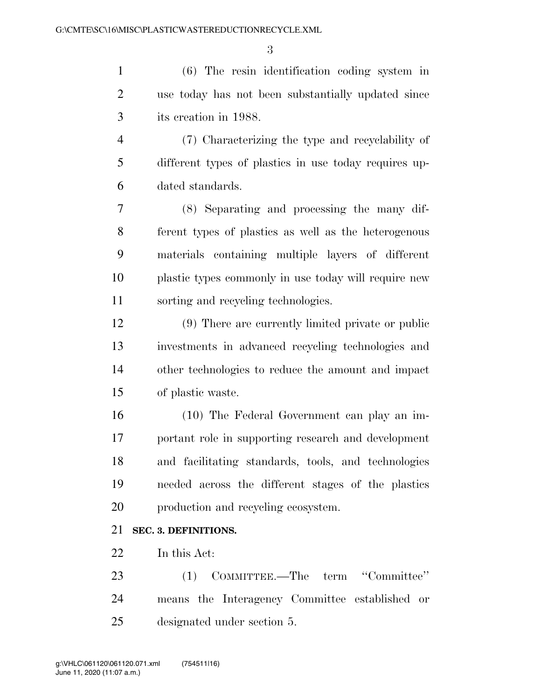(6) The resin identification coding system in use today has not been substantially updated since its creation in 1988.

 (7) Characterizing the type and recyclability of different types of plastics in use today requires up-dated standards.

 (8) Separating and processing the many dif- ferent types of plastics as well as the heterogenous materials containing multiple layers of different plastic types commonly in use today will require new sorting and recycling technologies.

 (9) There are currently limited private or public investments in advanced recycling technologies and other technologies to reduce the amount and impact of plastic waste.

 (10) The Federal Government can play an im- portant role in supporting research and development and facilitating standards, tools, and technologies needed across the different stages of the plastics production and recycling ecosystem.

#### **SEC. 3. DEFINITIONS.**

In this Act:

 (1) COMMITTEE.—The term ''Committee'' means the Interagency Committee established or designated under section 5.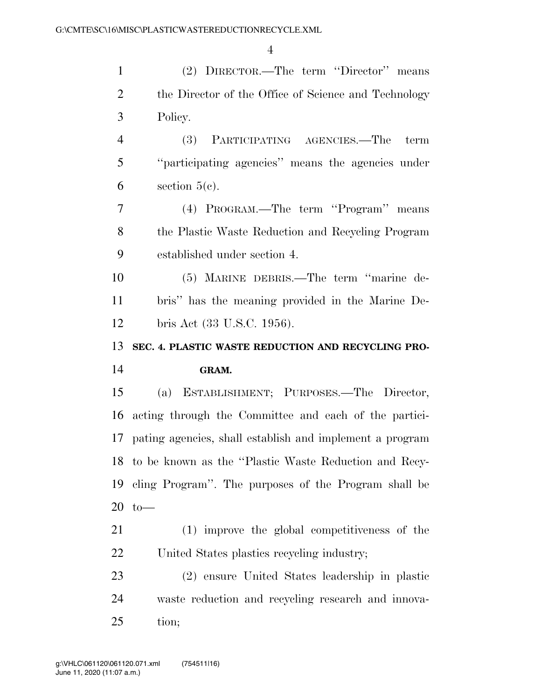| $\mathbf{1}$   | (2) DIRECTOR.—The term "Director" means                  |
|----------------|----------------------------------------------------------|
| $\overline{2}$ | the Director of the Office of Science and Technology     |
| 3              | Policy.                                                  |
| $\overline{4}$ | (3) PARTICIPATING AGENCIES.—The<br>term                  |
| 5              | "participating agencies" means the agencies under        |
| 6              | section $5(e)$ .                                         |
| $\tau$         | (4) PROGRAM.—The term "Program" means                    |
| 8              | the Plastic Waste Reduction and Recycling Program        |
| 9              | established under section 4.                             |
| 10             | (5) MARINE DEBRIS.—The term "marine de-                  |
| 11             | bris" has the meaning provided in the Marine De-         |
| 12             | bris Act (33 U.S.C. 1956).                               |
|                |                                                          |
| 13             | SEC. 4. PLASTIC WASTE REDUCTION AND RECYCLING PRO-       |
| 14             | GRAM.                                                    |
| 15             | (a) ESTABLISHMENT; PURPOSES.—The Director,               |
| 16             | acting through the Committee and each of the partici-    |
| 17             | pating agencies, shall establish and implement a program |
|                | 18 to be known as the "Plastic Waste Reduction and Recy- |
| 19             | cling Program". The purposes of the Program shall be     |
| 20             | $to-$                                                    |
| 21             | (1) improve the global competitiveness of the            |
| 22             | United States plastics recycling industry;               |
| 23             | (2) ensure United States leadership in plastic           |
| 24             | waste reduction and recycling research and innova-       |

tion;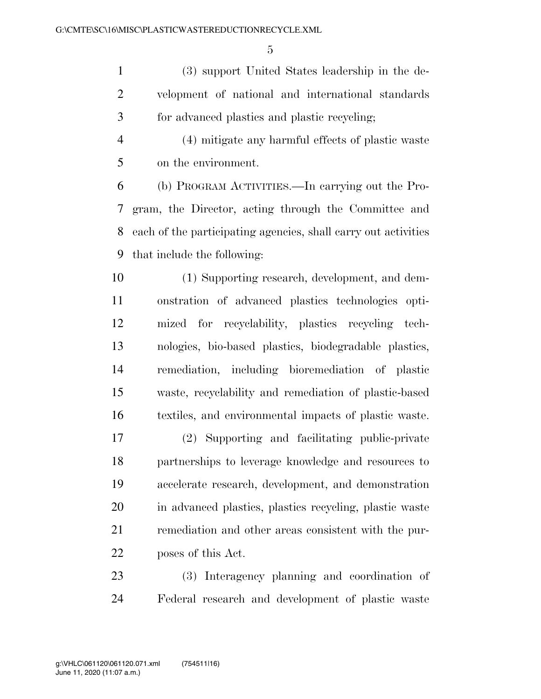(3) support United States leadership in the de- velopment of national and international standards for advanced plastics and plastic recycling;

 (4) mitigate any harmful effects of plastic waste on the environment.

 (b) PROGRAM ACTIVITIES.—In carrying out the Pro- gram, the Director, acting through the Committee and each of the participating agencies, shall carry out activities that include the following:

 (1) Supporting research, development, and dem- onstration of advanced plastics technologies opti- mized for recyclability, plastics recycling tech- nologies, bio-based plastics, biodegradable plastics, remediation, including bioremediation of plastic waste, recyclability and remediation of plastic-based textiles, and environmental impacts of plastic waste.

 (2) Supporting and facilitating public-private partnerships to leverage knowledge and resources to accelerate research, development, and demonstration in advanced plastics, plastics recycling, plastic waste remediation and other areas consistent with the pur-poses of this Act.

 (3) Interagency planning and coordination of Federal research and development of plastic waste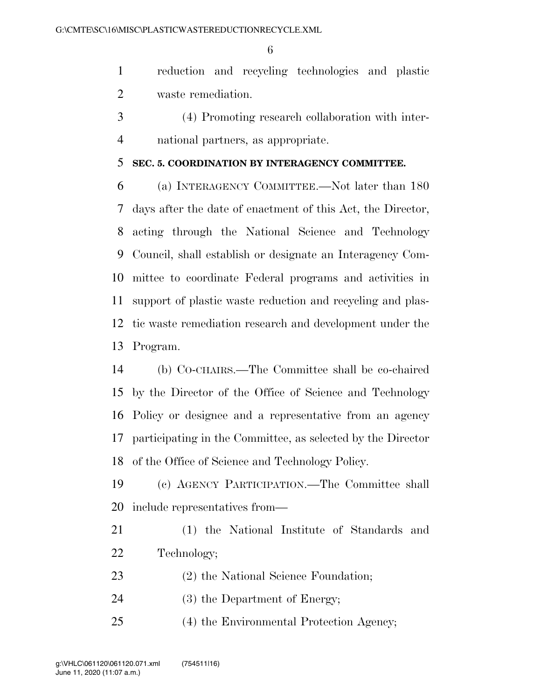reduction and recycling technologies and plastic waste remediation.

 (4) Promoting research collaboration with inter-national partners, as appropriate.

#### **SEC. 5. COORDINATION BY INTERAGENCY COMMITTEE.**

 (a) INTERAGENCY COMMITTEE.—Not later than 180 days after the date of enactment of this Act, the Director, acting through the National Science and Technology Council, shall establish or designate an Interagency Com- mittee to coordinate Federal programs and activities in support of plastic waste reduction and recycling and plas- tic waste remediation research and development under the Program.

 (b) CO-CHAIRS.—The Committee shall be co-chaired by the Director of the Office of Science and Technology Policy or designee and a representative from an agency participating in the Committee, as selected by the Director of the Office of Science and Technology Policy.

 (c) AGENCY PARTICIPATION.—The Committee shall include representatives from—

- (1) the National Institute of Standards and Technology;
- (2) the National Science Foundation;
- (3) the Department of Energy;
- (4) the Environmental Protection Agency;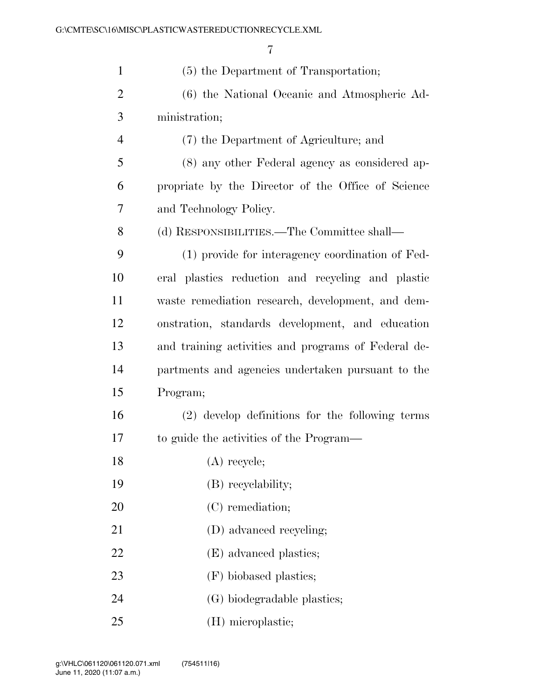| $\mathbf{1}$   | (5) the Department of Transportation;               |
|----------------|-----------------------------------------------------|
| $\overline{2}$ | (6) the National Oceanic and Atmospheric Ad-        |
| 3              | ministration;                                       |
| $\overline{4}$ | (7) the Department of Agriculture; and              |
| 5              | (8) any other Federal agency as considered ap-      |
| 6              | propriate by the Director of the Office of Science  |
| 7              | and Technology Policy.                              |
| 8              | (d) RESPONSIBILITIES.—The Committee shall—          |
| 9              | (1) provide for interagency coordination of Fed-    |
| 10             | eral plastics reduction and recycling and plastic   |
| 11             | waste remediation research, development, and dem-   |
| 12             | onstration, standards development, and education    |
| 13             | and training activities and programs of Federal de- |
| 14             | partments and agencies undertaken pursuant to the   |
| 15             | Program;                                            |
| 16             | (2) develop definitions for the following terms     |
| 17             | to guide the activities of the Program—             |
| 18             | $(A)$ recycle;                                      |
| 19             | (B) recyclability;                                  |
| 20             | (C) remediation;                                    |
| 21             | (D) advanced recycling;                             |
| 22             | (E) advanced plastics;                              |
| 23             | (F) biobased plastics;                              |
| 24             | (G) biodegradable plastics;                         |
| 25             | (H) microplastic;                                   |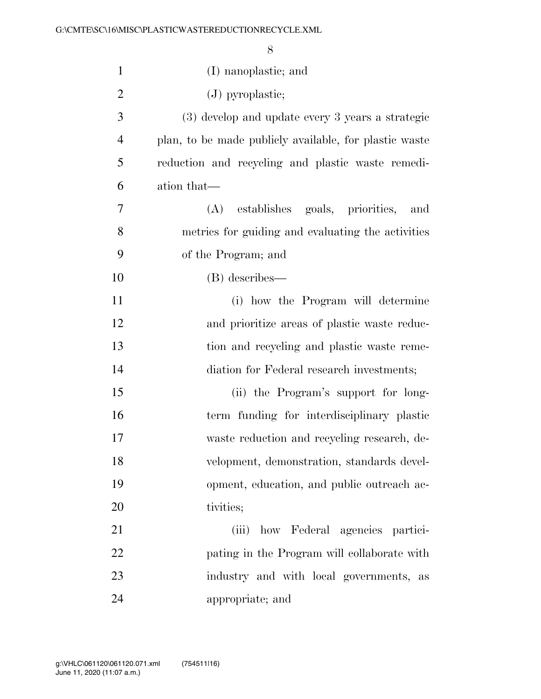| $\mathbf{1}$   | (I) nanoplastic; and                                   |
|----------------|--------------------------------------------------------|
| $\overline{2}$ | $(J)$ pyroplastic;                                     |
| 3              | (3) develop and update every 3 years a strategic       |
| $\overline{4}$ | plan, to be made publicly available, for plastic waste |
| 5              | reduction and recycling and plastic waste remedi-      |
| 6              | ation that—                                            |
| 7              | (A) establishes goals, priorities, and                 |
| 8              | metrics for guiding and evaluating the activities      |
| 9              | of the Program; and                                    |
| 10             | (B) describes—                                         |
| 11             | (i) how the Program will determine                     |
| 12             | and prioritize areas of plastic waste reduc-           |
| 13             | tion and recycling and plastic waste reme-             |
| 14             | diation for Federal research investments;              |
| 15             | (ii) the Program's support for long-                   |
| 16             | term funding for interdisciplinary plastic             |
| 17             | waste reduction and recycling research, de-            |
| 18             | velopment, demonstration, standards devel-             |
| 19             | opment, education, and public outreach ac-             |
| 20             | tivities;                                              |
| 21             | how Federal agencies partici-<br>(iii)                 |
| 22             | pating in the Program will collaborate with            |
| 23             | industry and with local governments, as                |
| 24             | appropriate; and                                       |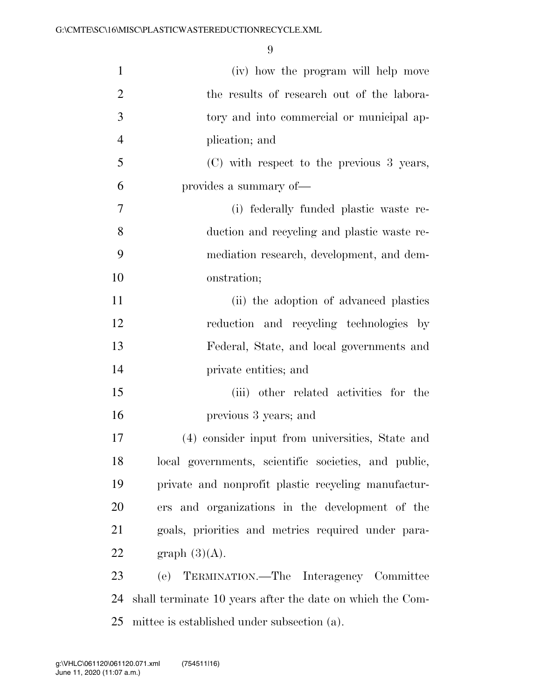| $\mathbf{1}$     | (iv) how the program will help move                       |
|------------------|-----------------------------------------------------------|
| $\overline{2}$   | the results of research out of the labora-                |
| 3                | tory and into commercial or municipal ap-                 |
| $\overline{4}$   | plication; and                                            |
| 5                | (C) with respect to the previous 3 years,                 |
| 6                | provides a summary of-                                    |
| $\boldsymbol{7}$ | (i) federally funded plastic waste re-                    |
| 8                | duction and recycling and plastic waste re-               |
| 9                | mediation research, development, and dem-                 |
| 10               | onstration;                                               |
| 11               | (ii) the adoption of advanced plastics                    |
| 12               | reduction and recycling technologies by                   |
| 13               | Federal, State, and local governments and                 |
| 14               | private entities; and                                     |
| 15               | (iii) other related activities for the                    |
| 16               | previous 3 years; and                                     |
| 17               | (4) consider input from universities, State and           |
| 18               | local governments, scientific societies, and public,      |
| 19               | private and nonprofit plastic recycling manufactur-       |
| 20               | ers and organizations in the development of the           |
| 21               | goals, priorities and metrics required under para-        |
| 22               | graph $(3)(A)$ .                                          |
| 23               | (e) TERMINATION.—The Interagency Committee                |
| 24               | shall terminate 10 years after the date on which the Com- |
| 25               | mittee is established under subsection (a).               |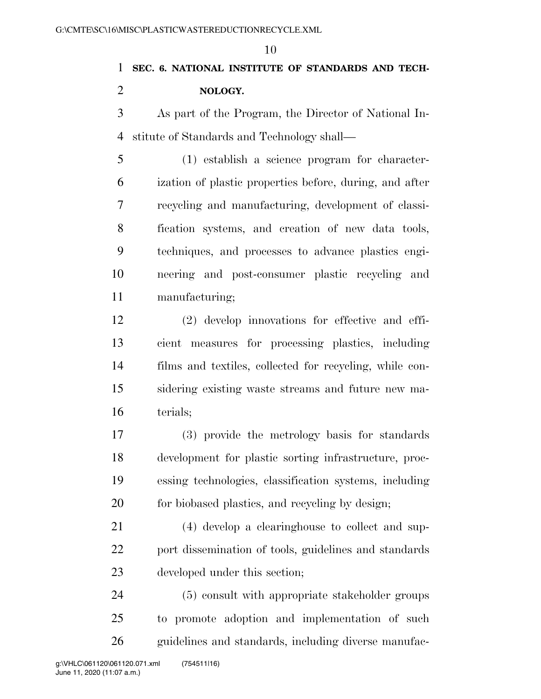# **SEC. 6. NATIONAL INSTITUTE OF STANDARDS AND TECH-NOLOGY.**

 As part of the Program, the Director of National In-stitute of Standards and Technology shall—

 (1) establish a science program for character- ization of plastic properties before, during, and after recycling and manufacturing, development of classi- fication systems, and creation of new data tools, techniques, and processes to advance plastics engi- neering and post-consumer plastic recycling and manufacturing;

 (2) develop innovations for effective and effi- cient measures for processing plastics, including films and textiles, collected for recycling, while con- sidering existing waste streams and future new ma-terials;

 (3) provide the metrology basis for standards development for plastic sorting infrastructure, proc- essing technologies, classification systems, including for biobased plastics, and recycling by design;

 (4) develop a clearinghouse to collect and sup- port dissemination of tools, guidelines and standards developed under this section;

 (5) consult with appropriate stakeholder groups to promote adoption and implementation of such guidelines and standards, including diverse manufac-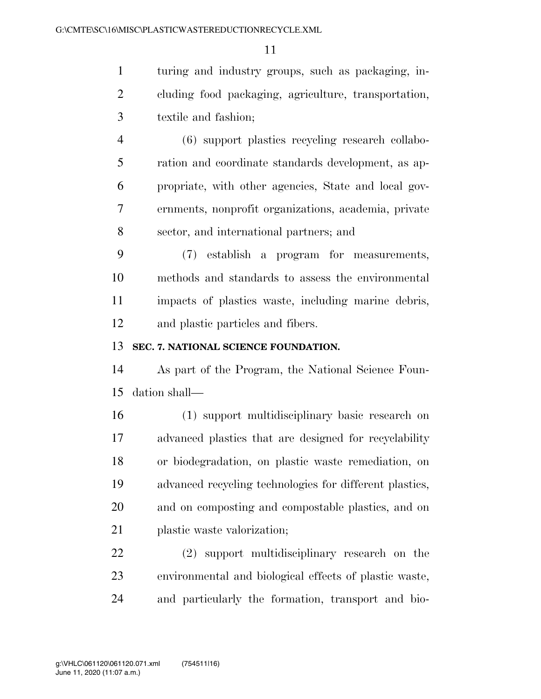turing and industry groups, such as packaging, in- cluding food packaging, agriculture, transportation, textile and fashion;

 (6) support plastics recycling research collabo- ration and coordinate standards development, as ap- propriate, with other agencies, State and local gov- ernments, nonprofit organizations, academia, private sector, and international partners; and

 (7) establish a program for measurements, methods and standards to assess the environmental impacts of plastics waste, including marine debris, and plastic particles and fibers.

#### **SEC. 7. NATIONAL SCIENCE FOUNDATION.**

 As part of the Program, the National Science Foun-dation shall—

 (1) support multidisciplinary basic research on advanced plastics that are designed for recyclability or biodegradation, on plastic waste remediation, on advanced recycling technologies for different plastics, and on composting and compostable plastics, and on plastic waste valorization;

 (2) support multidisciplinary research on the environmental and biological effects of plastic waste, and particularly the formation, transport and bio-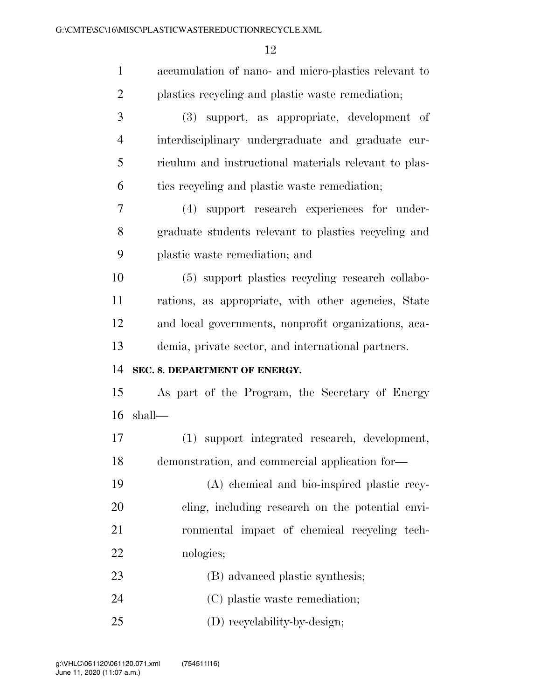| $\mathbf{1}$   | accumulation of nano- and micro-plastics relevant to  |
|----------------|-------------------------------------------------------|
| $\overline{2}$ | plastics recycling and plastic waste remediation;     |
| 3              | (3) support, as appropriate, development of           |
| $\overline{4}$ | interdisciplinary undergraduate and graduate cur-     |
| 5              | riculum and instructional materials relevant to plas- |
| 6              | ties recycling and plastic waste remediation;         |
| 7              | (4) support research experiences for under-           |
| 8              | graduate students relevant to plastics recycling and  |
| 9              | plastic waste remediation; and                        |
| 10             | (5) support plastics recycling research collabo-      |
| 11             | rations, as appropriate, with other agencies, State   |
| 12             | and local governments, nonprofit organizations, aca-  |
| 13             | demia, private sector, and international partners.    |
| 14             | SEC. 8. DEPARTMENT OF ENERGY.                         |
| 15             | As part of the Program, the Secretary of Energy       |
| 16             | shall—                                                |
| 17             | support integrated research, development,<br>(1)      |
| 18             | demonstration, and commercial application for-        |
| 19             | (A) chemical and bio-inspired plastic recy-           |
| 20             |                                                       |
|                | cling, including research on the potential envi-      |
| 21             | ronmental impact of chemical recycling tech-          |
| 22             | nologies;                                             |
| 23             | (B) advanced plastic synthesis;                       |
| 24             | (C) plastic waste remediation;                        |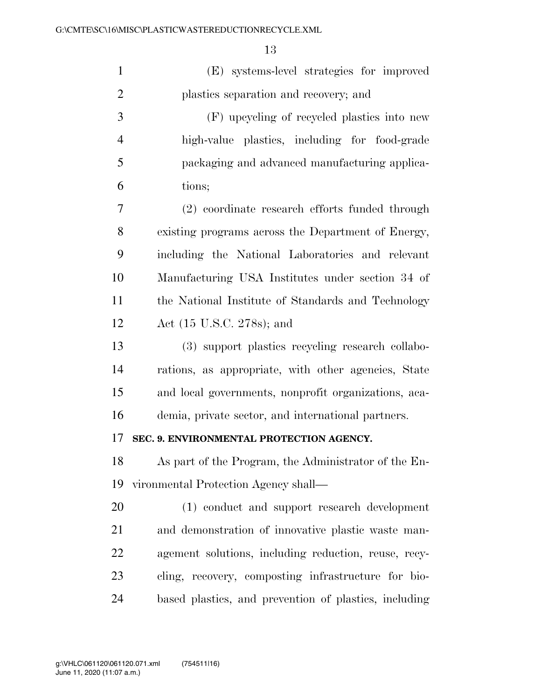| $\mathbf{1}$   | (E) systems-level strategies for improved             |
|----------------|-------------------------------------------------------|
| $\overline{2}$ | plastics separation and recovery; and                 |
| 3              | (F) upcycling of recycled plastics into new           |
| $\overline{4}$ | high-value plastics, including for food-grade         |
| 5              | packaging and advanced manufacturing applica-         |
| 6              | tions;                                                |
| 7              | (2) coordinate research efforts funded through        |
| 8              | existing programs across the Department of Energy,    |
| 9              | including the National Laboratories and relevant      |
| 10             | Manufacturing USA Institutes under section 34 of      |
| 11             | the National Institute of Standards and Technology    |
| 12             | Act (15 U.S.C. 278s); and                             |
| 13             | (3) support plastics recycling research collabo-      |
| 14             | rations, as appropriate, with other agencies, State   |
| 15             | and local governments, nonprofit organizations, aca-  |
| 16             | demia, private sector, and international partners.    |
| 17             | SEC. 9. ENVIRONMENTAL PROTECTION AGENCY.              |
| 18             | As part of the Program, the Administrator of the En-  |
| 19             | vironmental Protection Agency shall—                  |
| 20             | (1) conduct and support research development          |
| 21             | and demonstration of innovative plastic waste man-    |
| 22             | agement solutions, including reduction, reuse, recy-  |
| 23             | cling, recovery, composting infrastructure for bio-   |
| 24             | based plastics, and prevention of plastics, including |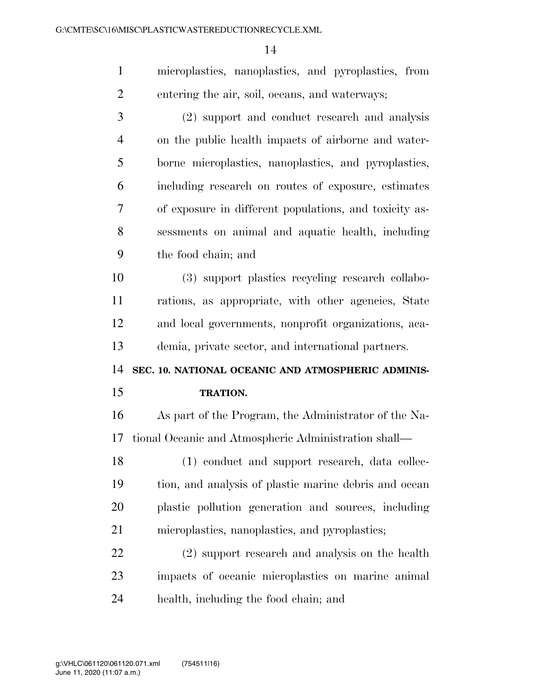microplastics, nanoplastics, and pyroplastics, from entering the air, soil, oceans, and waterways; (2) support and conduct research and analysis on the public health impacts of airborne and water- borne microplastics, nanoplastics, and pyroplastics, including research on routes of exposure, estimates of exposure in different populations, and toxicity as- sessments on animal and aquatic health, including the food chain; and (3) support plastics recycling research collabo- rations, as appropriate, with other agencies, State and local governments, nonprofit organizations, aca- demia, private sector, and international partners. **SEC. 10. NATIONAL OCEANIC AND ATMOSPHERIC ADMINIS- TRATION.**  As part of the Program, the Administrator of the Na-tional Oceanic and Atmospheric Administration shall—

18 (1) conduct and support research, data collec- tion, and analysis of plastic marine debris and ocean plastic pollution generation and sources, including microplastics, nanoplastics, and pyroplastics;

 (2) support research and analysis on the health impacts of oceanic microplastics on marine animal health, including the food chain; and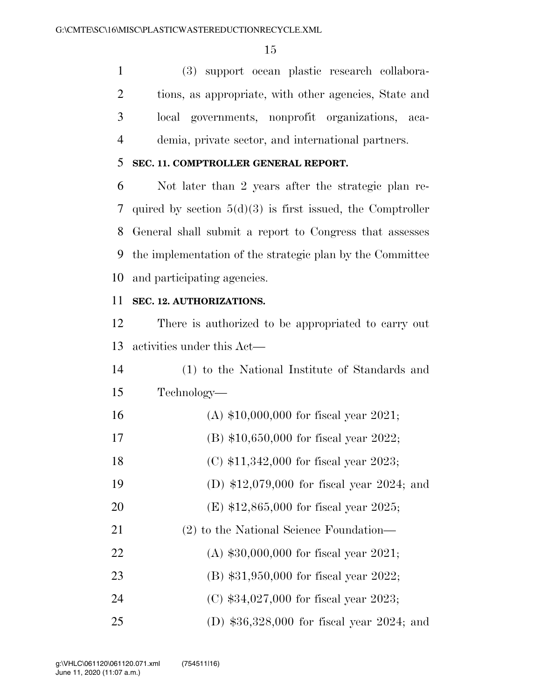(3) support ocean plastic research collabora- tions, as appropriate, with other agencies, State and local governments, nonprofit organizations, aca-demia, private sector, and international partners.

#### **SEC. 11. COMPTROLLER GENERAL REPORT.**

 Not later than 2 years after the strategic plan re- quired by section 5(d)(3) is first issued, the Comptroller General shall submit a report to Congress that assesses the implementation of the strategic plan by the Committee and participating agencies.

#### **SEC. 12. AUTHORIZATIONS.**

 There is authorized to be appropriated to carry out activities under this Act—

| 14 | (1) to the National Institute of Standards and |
|----|------------------------------------------------|
| 15 | Technology—                                    |
| 16 | (A) $$10,000,000$ for fiscal year 2021;        |
| 17 | (B) $$10,650,000$ for fiscal year 2022;        |
| 18 | (C) $$11,342,000$ for fiscal year 2023;        |
| 19 | (D) $$12,079,000$ for fiscal year 2024; and    |
|    |                                                |

- (E) \$12,865,000 for fiscal year 2025;
- (2) to the National Science Foundation—
- (A) \$30,000,000 for fiscal year 2021;
- (B) \$31,950,000 for fiscal year 2022;
- (C) \$34,027,000 for fiscal year 2023;
- (D) \$36,328,000 for fiscal year 2024; and